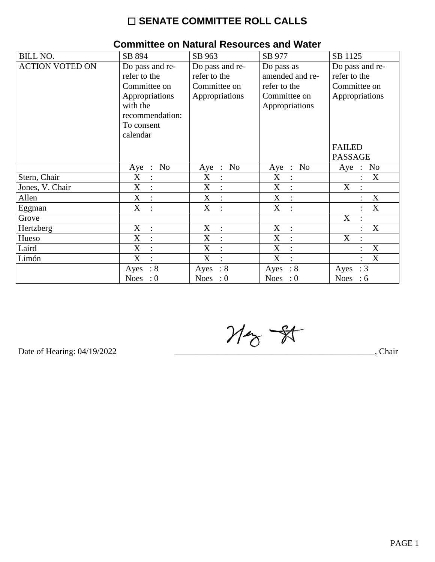# $\square$  SENATE COMMITTEE ROLL CALLS

| <b>BILL NO.</b>        | SB 894                                                                                                                     | SB 963                                                            | SB 977                                                                          | SB 1125                                                                            |
|------------------------|----------------------------------------------------------------------------------------------------------------------------|-------------------------------------------------------------------|---------------------------------------------------------------------------------|------------------------------------------------------------------------------------|
| <b>ACTION VOTED ON</b> | Do pass and re-<br>refer to the<br>Committee on<br>Appropriations<br>with the<br>recommendation:<br>To consent<br>calendar | Do pass and re-<br>refer to the<br>Committee on<br>Appropriations | Do pass as<br>amended and re-<br>refer to the<br>Committee on<br>Appropriations | Do pass and re-<br>refer to the<br>Committee on<br>Appropriations<br><b>FAILED</b> |
|                        |                                                                                                                            |                                                                   |                                                                                 | <b>PASSAGE</b>                                                                     |
|                        | No<br>Aye<br>$\ddot{\cdot}$                                                                                                | N <sub>o</sub><br>Aye<br>$\therefore$                             | No<br>Aye<br>$\langle \cdot, \cdot \rangle$                                     | No<br>Aye<br>$\ddot{\cdot}$                                                        |
| Stern, Chair           | X<br>$\therefore$                                                                                                          | X                                                                 | $\mathbf X$<br>$\ddot{\cdot}$                                                   | $\mathbf X$                                                                        |
| Jones, V. Chair        | X<br>$\ddot{\cdot}$                                                                                                        | X                                                                 | X<br>$\ddot{\cdot}$                                                             | X<br>$\ddot{\cdot}$                                                                |
| Allen                  | $\boldsymbol{\mathrm{X}}$<br>$\ddot{\cdot}$                                                                                | X<br>$\ddot{\cdot}$                                               | $\boldsymbol{\mathrm{X}}$<br>$\ddot{\cdot}$                                     | X                                                                                  |
| Eggman                 | X<br>$\ddot{\cdot}$                                                                                                        | X<br>$\bullet$                                                    | X<br>$\ddot{\cdot}$                                                             | X                                                                                  |
| Grove                  |                                                                                                                            |                                                                   |                                                                                 | X                                                                                  |
| Hertzberg              | X<br>$\therefore$                                                                                                          | X<br>$\ddot{\phantom{1}}$ :                                       | $\boldsymbol{\mathrm{X}}$<br>$\ddot{\cdot}$                                     | X                                                                                  |
| Hueso                  | X<br>$\ddot{\cdot}$                                                                                                        | X                                                                 | X<br>$\ddot{\cdot}$                                                             | X<br>$\ddot{\cdot}$                                                                |
| Laird                  | X<br>$\ddot{\cdot}$                                                                                                        | X                                                                 | X<br>$\ddot{\cdot}$                                                             | X                                                                                  |
| Limón                  | X<br>$\bullet$                                                                                                             | X                                                                 | X<br>$\bullet$                                                                  | X                                                                                  |
|                        | : 8<br>Ayes                                                                                                                | $\therefore$ 8<br>Ayes                                            | $\therefore 8$<br>Ayes                                                          | : 3<br>Ayes                                                                        |
|                        | <b>Noes</b><br>$\cdot 0$                                                                                                   | <b>Noes</b><br>$\cdot 0$                                          | <b>Noes</b><br>$\cdot 0$                                                        | <b>Noes</b><br>:6                                                                  |

### Committee on Natural Resources and Water

 $M_{\odot}$  -  $N$ 

Date of Hearing: 04/19/2022

Chair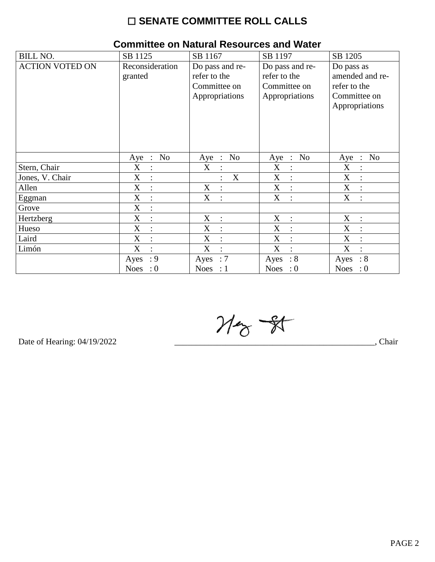# $\square$  SENATE COMMITTEE ROLL CALLS

| <b>BILL NO.</b>        | SB 1125                                       | SB 1167                                                           | SB 1197                                                           | SB 1205                                                                         |
|------------------------|-----------------------------------------------|-------------------------------------------------------------------|-------------------------------------------------------------------|---------------------------------------------------------------------------------|
| <b>ACTION VOTED ON</b> | Reconsideration<br>granted                    | Do pass and re-<br>refer to the<br>Committee on<br>Appropriations | Do pass and re-<br>refer to the<br>Committee on<br>Appropriations | Do pass as<br>amended and re-<br>refer to the<br>Committee on<br>Appropriations |
|                        | N <sub>o</sub><br>Aye<br>$\ddot{\phantom{a}}$ | No<br>Aye<br>$\ddot{\phantom{1}}$ :                               | N <sub>o</sub><br>Aye<br>$\ddot{\phantom{1}}$ :                   | N <sub>o</sub><br>Aye<br>$\cdot$ :                                              |
| Stern, Chair           | X<br>$\ddot{\cdot}$                           | X                                                                 | X<br>:                                                            | $\mathbf X$                                                                     |
| Jones, V. Chair        | X<br>$\ddot{\cdot}$                           | $\mathbf X$                                                       | $\boldsymbol{\mathrm{X}}$<br>:                                    | X                                                                               |
| Allen                  | X<br>$\ddot{\cdot}$                           | X<br>$\ddot{\cdot}$                                               | X<br>$\ddot{\cdot}$                                               | X<br>$\overline{\mathcal{C}}$                                                   |
| Eggman                 | X<br>$\ddot{\cdot}$                           | X                                                                 | X<br>$\ddot{\cdot}$                                               | X                                                                               |
| Grove                  | $\boldsymbol{\mathrm{X}}$<br>$\vdots$         |                                                                   |                                                                   |                                                                                 |
| Hertzberg              | X<br>$\ddot{\cdot}$                           | X<br>$\mathbf{r}$                                                 | X<br>$\ddot{\cdot}$                                               | X<br>$\dot{\mathbf{r}}$                                                         |
| Hueso                  | X<br>$\ddot{\cdot}$                           | X                                                                 | X<br>:                                                            | X                                                                               |
| Laird                  | X<br>$\ddot{\cdot}$                           | X                                                                 | $\boldsymbol{\mathrm{X}}$<br>$\ddot{\cdot}$                       | X                                                                               |
| Limón                  | X<br>$\ddot{\cdot}$                           | X<br>$\ddot{\cdot}$                                               | X<br>$\bullet$                                                    | X                                                                               |
|                        | : 9<br>Ayes                                   | :7<br>Ayes                                                        | $\therefore 8$<br>Ayes                                            | $\therefore 8$<br>Ayes                                                          |
|                        | Noes : $0$                                    | Noes : $1$                                                        | Noes : $0$                                                        | Noes : $0$                                                                      |

# **Committee on Natural Resources and Water**

 $M_{\odot}$  - 81

Date of Hearing: 04/19/2022

Chair, Chair